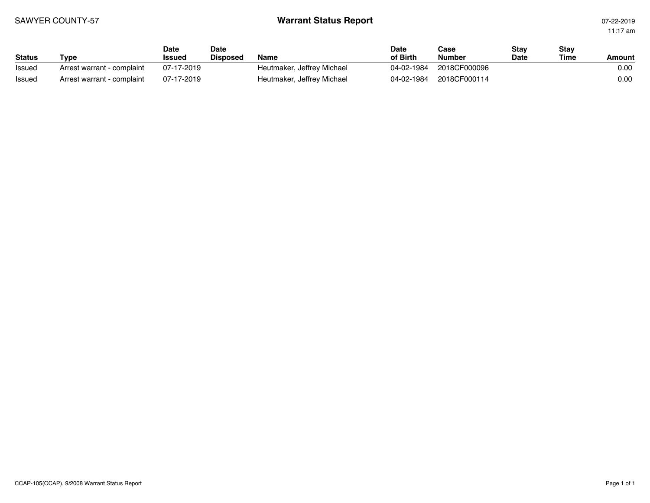## SAWYER COUNTY-57 **Warrant Status Report** 07-22-2019

11:17 am

| <b>Status</b> | Гуре                       | Date<br><b>Issued</b> | Date<br><b>Disposed</b> | <b>Name</b>                | <b>Date</b><br>of Birth | Case<br><b>Number</b> | Stav<br><b>Date</b> | Stav<br>Time | Amount |
|---------------|----------------------------|-----------------------|-------------------------|----------------------------|-------------------------|-----------------------|---------------------|--------------|--------|
| Issued        | Arrest warrant - complaint | 07-17-2019            |                         | Heutmaker, Jeffrey Michael | 04-02-1984              | 2018CF000096          |                     |              | 0.00   |
| Issued        | Arrest warrant - complaint | 07-17-2019            |                         | Heutmaker, Jeffrey Michael | 04-02-1984              | 2018CF000114          |                     |              | 0.00   |